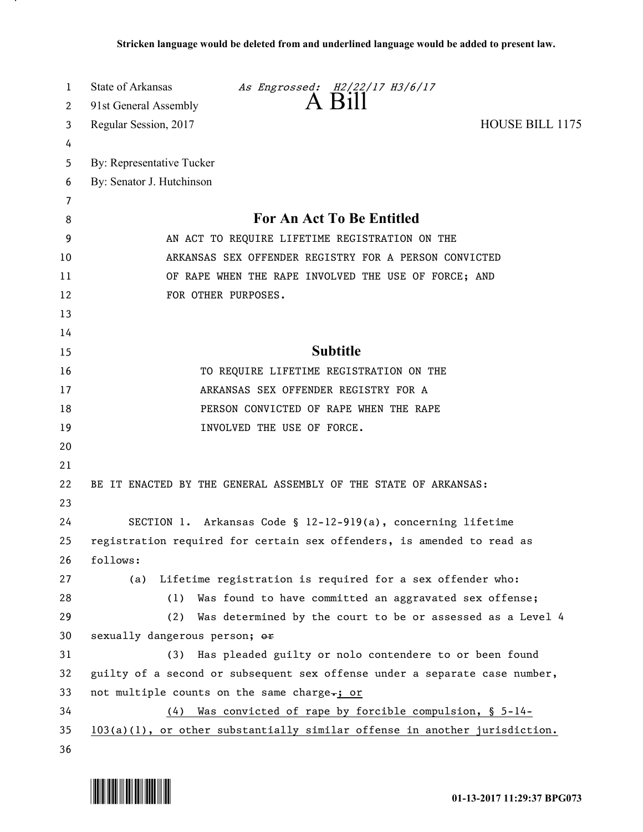| 1      | State of Arkansas<br>As Engrossed: H2/22/17 H3/6/17                         |
|--------|-----------------------------------------------------------------------------|
| 2      | 91st General Assembly                                                       |
| 3      | <b>HOUSE BILL 1175</b><br>Regular Session, 2017                             |
| 4      |                                                                             |
| 5      | By: Representative Tucker                                                   |
| 6      | By: Senator J. Hutchinson                                                   |
| 7<br>8 | <b>For An Act To Be Entitled</b>                                            |
| 9      | AN ACT TO REQUIRE LIFETIME REGISTRATION ON THE                              |
| 10     | ARKANSAS SEX OFFENDER REGISTRY FOR A PERSON CONVICTED                       |
| 11     |                                                                             |
| 12     | OF RAPE WHEN THE RAPE INVOLVED THE USE OF FORCE; AND<br>FOR OTHER PURPOSES. |
| 13     |                                                                             |
| 14     |                                                                             |
| 15     | <b>Subtitle</b>                                                             |
| 16     | TO REQUIRE LIFETIME REGISTRATION ON THE                                     |
| 17     | ARKANSAS SEX OFFENDER REGISTRY FOR A                                        |
| 18     | PERSON CONVICTED OF RAPE WHEN THE RAPE                                      |
| 19     | INVOLVED THE USE OF FORCE.                                                  |
| 20     |                                                                             |
| 21     |                                                                             |
| 22     | BE IT ENACTED BY THE GENERAL ASSEMBLY OF THE STATE OF ARKANSAS:             |
| 23     |                                                                             |
| 24     | SECTION 1. Arkansas Code § 12-12-919(a), concerning lifetime                |
| 25     | registration required for certain sex offenders, is amended to read as      |
| 26     | follows:                                                                    |
| 27     | (a) Lifetime registration is required for a sex offender who:               |
| 28     | Was found to have committed an aggravated sex offense;<br>(1)               |
| 29     | Was determined by the court to be or assessed as a Level 4<br>(2)           |
| 30     | sexually dangerous person; or                                               |
| 31     | Has pleaded guilty or nolo contendere to or been found<br>(3)               |
| 32     | guilty of a second or subsequent sex offense under a separate case number,  |
| 33     | not multiple counts on the same charge-; or                                 |
| 34     | Was convicted of rape by forcible compulsion, § 5-14-<br>(4)                |
| 35     | 103(a)(1), or other substantially similar offense in another jurisdiction.  |
| 36     |                                                                             |



.